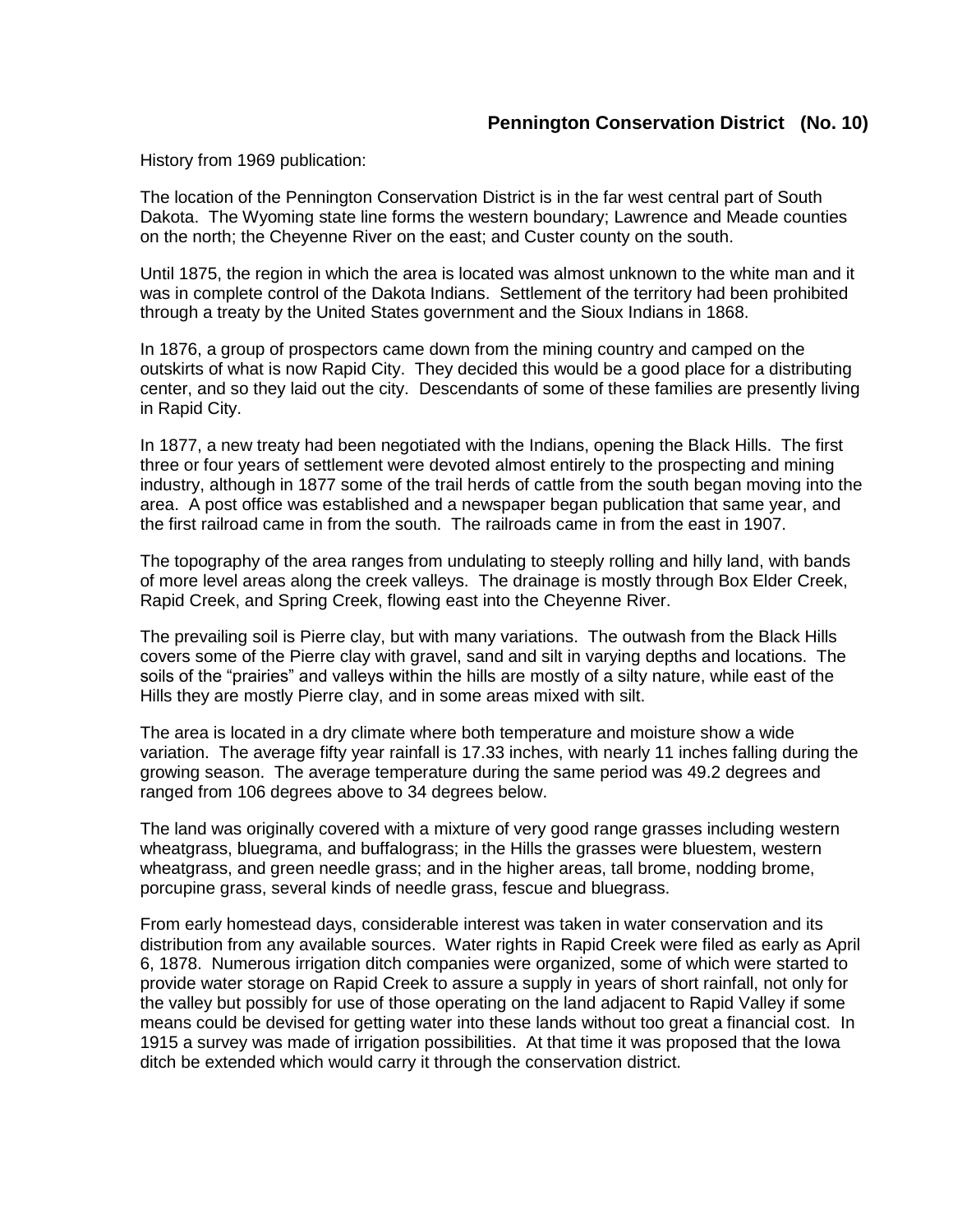## **Pennington Conservation District (No. 10)**

History from 1969 publication:

The location of the Pennington Conservation District is in the far west central part of South Dakota. The Wyoming state line forms the western boundary; Lawrence and Meade counties on the north; the Cheyenne River on the east; and Custer county on the south.

Until 1875, the region in which the area is located was almost unknown to the white man and it was in complete control of the Dakota Indians. Settlement of the territory had been prohibited through a treaty by the United States government and the Sioux Indians in 1868.

In 1876, a group of prospectors came down from the mining country and camped on the outskirts of what is now Rapid City. They decided this would be a good place for a distributing center, and so they laid out the city. Descendants of some of these families are presently living in Rapid City.

In 1877, a new treaty had been negotiated with the Indians, opening the Black Hills. The first three or four years of settlement were devoted almost entirely to the prospecting and mining industry, although in 1877 some of the trail herds of cattle from the south began moving into the area. A post office was established and a newspaper began publication that same year, and the first railroad came in from the south. The railroads came in from the east in 1907.

The topography of the area ranges from undulating to steeply rolling and hilly land, with bands of more level areas along the creek valleys. The drainage is mostly through Box Elder Creek, Rapid Creek, and Spring Creek, flowing east into the Cheyenne River.

The prevailing soil is Pierre clay, but with many variations. The outwash from the Black Hills covers some of the Pierre clay with gravel, sand and silt in varying depths and locations. The soils of the "prairies" and valleys within the hills are mostly of a silty nature, while east of the Hills they are mostly Pierre clay, and in some areas mixed with silt.

The area is located in a dry climate where both temperature and moisture show a wide variation. The average fifty year rainfall is 17.33 inches, with nearly 11 inches falling during the growing season. The average temperature during the same period was 49.2 degrees and ranged from 106 degrees above to 34 degrees below.

The land was originally covered with a mixture of very good range grasses including western wheatgrass, bluegrama, and buffalograss; in the Hills the grasses were bluestem, western wheatgrass, and green needle grass; and in the higher areas, tall brome, nodding brome, porcupine grass, several kinds of needle grass, fescue and bluegrass.

From early homestead days, considerable interest was taken in water conservation and its distribution from any available sources. Water rights in Rapid Creek were filed as early as April 6, 1878. Numerous irrigation ditch companies were organized, some of which were started to provide water storage on Rapid Creek to assure a supply in years of short rainfall, not only for the valley but possibly for use of those operating on the land adjacent to Rapid Valley if some means could be devised for getting water into these lands without too great a financial cost. In 1915 a survey was made of irrigation possibilities. At that time it was proposed that the Iowa ditch be extended which would carry it through the conservation district.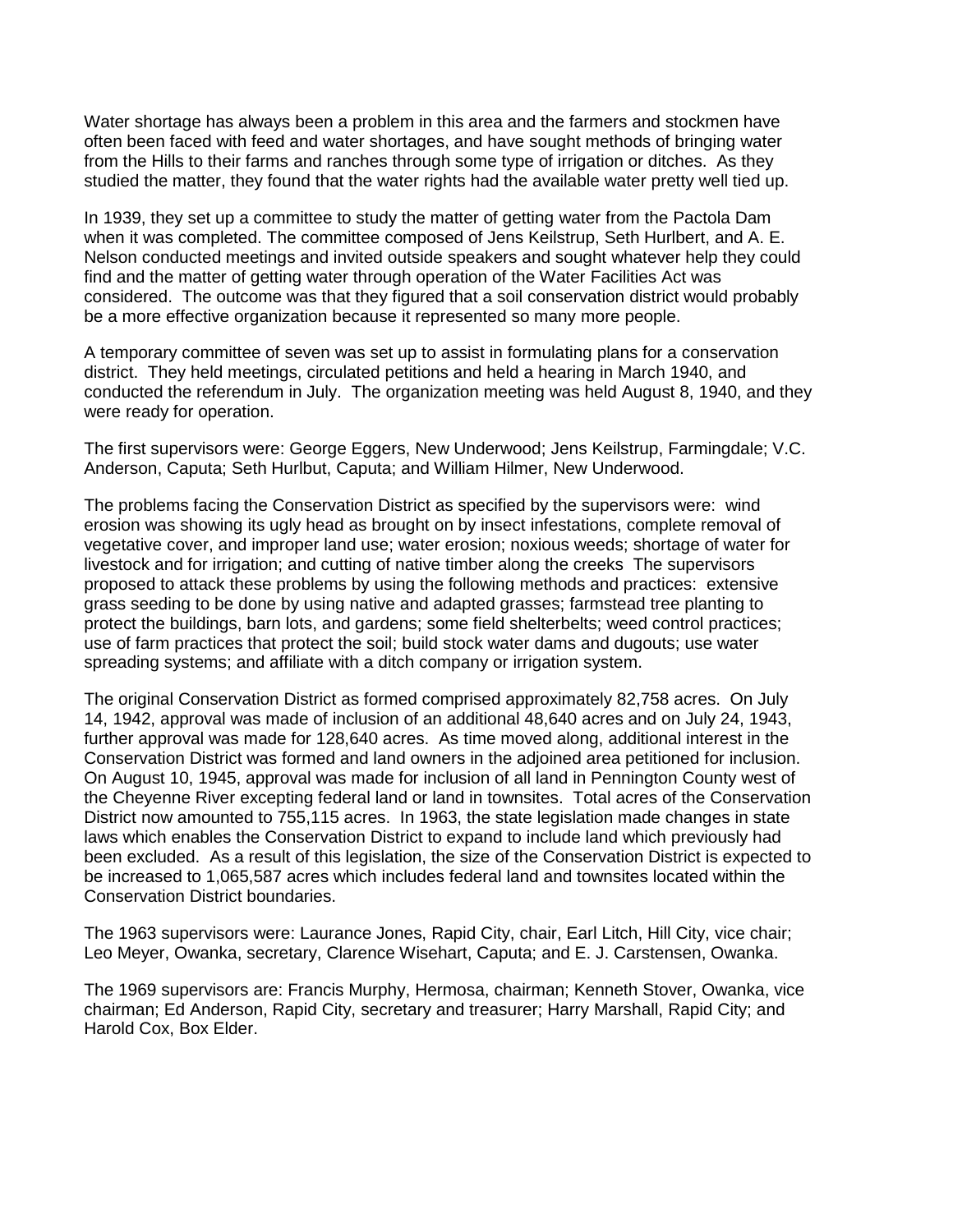Water shortage has always been a problem in this area and the farmers and stockmen have often been faced with feed and water shortages, and have sought methods of bringing water from the Hills to their farms and ranches through some type of irrigation or ditches. As they studied the matter, they found that the water rights had the available water pretty well tied up.

In 1939, they set up a committee to study the matter of getting water from the Pactola Dam when it was completed. The committee composed of Jens Keilstrup, Seth Hurlbert, and A. E. Nelson conducted meetings and invited outside speakers and sought whatever help they could find and the matter of getting water through operation of the Water Facilities Act was considered. The outcome was that they figured that a soil conservation district would probably be a more effective organization because it represented so many more people.

A temporary committee of seven was set up to assist in formulating plans for a conservation district. They held meetings, circulated petitions and held a hearing in March 1940, and conducted the referendum in July. The organization meeting was held August 8, 1940, and they were ready for operation.

The first supervisors were: George Eggers, New Underwood; Jens Keilstrup, Farmingdale; V.C. Anderson, Caputa; Seth Hurlbut, Caputa; and William Hilmer, New Underwood.

The problems facing the Conservation District as specified by the supervisors were: wind erosion was showing its ugly head as brought on by insect infestations, complete removal of vegetative cover, and improper land use; water erosion; noxious weeds; shortage of water for livestock and for irrigation; and cutting of native timber along the creeks The supervisors proposed to attack these problems by using the following methods and practices: extensive grass seeding to be done by using native and adapted grasses; farmstead tree planting to protect the buildings, barn lots, and gardens; some field shelterbelts; weed control practices; use of farm practices that protect the soil; build stock water dams and dugouts; use water spreading systems; and affiliate with a ditch company or irrigation system.

The original Conservation District as formed comprised approximately 82,758 acres. On July 14, 1942, approval was made of inclusion of an additional 48,640 acres and on July 24, 1943, further approval was made for 128,640 acres. As time moved along, additional interest in the Conservation District was formed and land owners in the adjoined area petitioned for inclusion. On August 10, 1945, approval was made for inclusion of all land in Pennington County west of the Cheyenne River excepting federal land or land in townsites. Total acres of the Conservation District now amounted to 755,115 acres. In 1963, the state legislation made changes in state laws which enables the Conservation District to expand to include land which previously had been excluded. As a result of this legislation, the size of the Conservation District is expected to be increased to 1,065,587 acres which includes federal land and townsites located within the Conservation District boundaries.

The 1963 supervisors were: Laurance Jones, Rapid City, chair, Earl Litch, Hill City, vice chair; Leo Meyer, Owanka, secretary, Clarence Wisehart, Caputa; and E. J. Carstensen, Owanka.

The 1969 supervisors are: Francis Murphy, Hermosa, chairman; Kenneth Stover, Owanka, vice chairman; Ed Anderson, Rapid City, secretary and treasurer; Harry Marshall, Rapid City; and Harold Cox, Box Elder.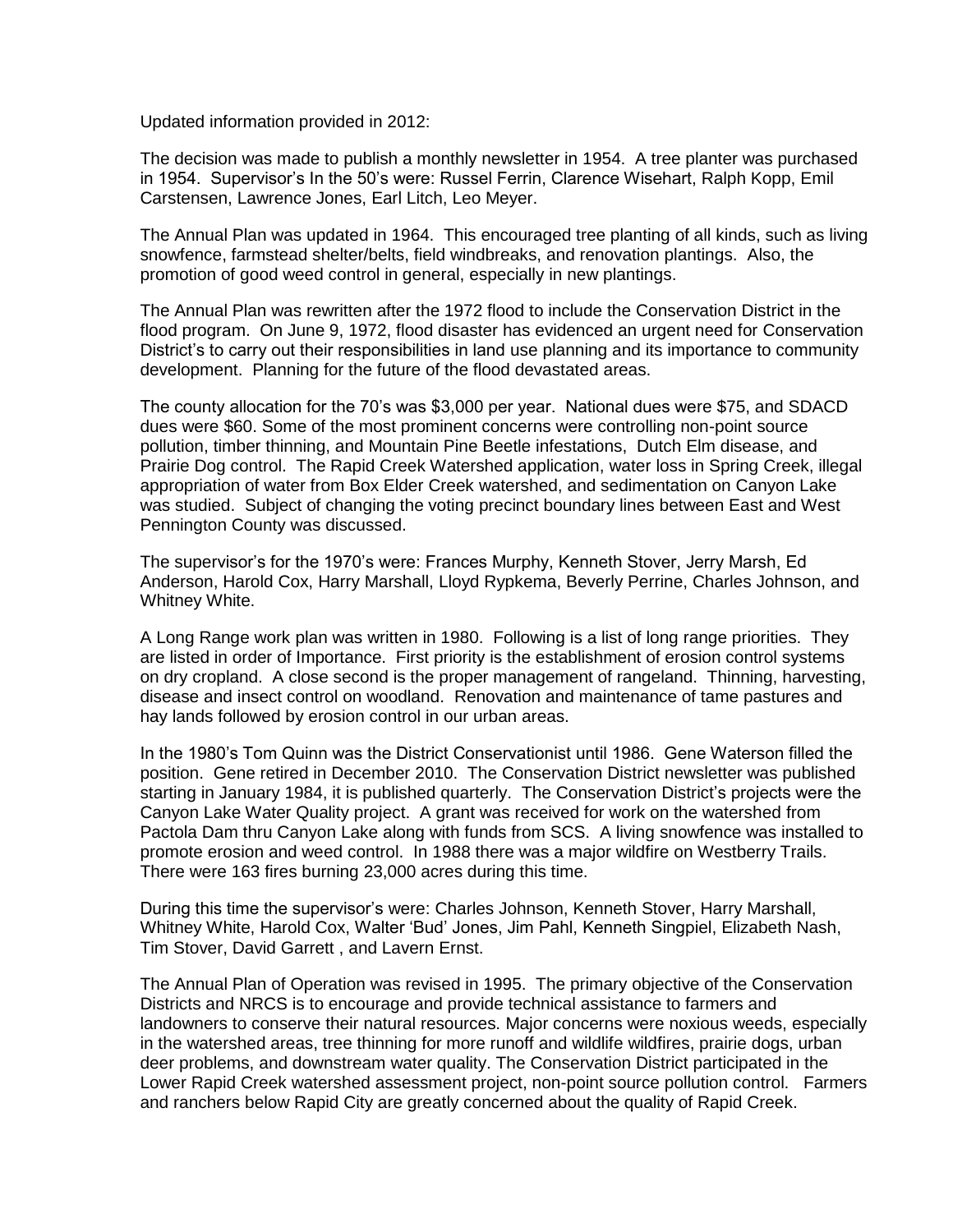Updated information provided in 2012:

The decision was made to publish a monthly newsletter in 1954. A tree planter was purchased in 1954. Supervisor's In the 50's were: Russel Ferrin, Clarence Wisehart, Ralph Kopp, Emil Carstensen, Lawrence Jones, Earl Litch, Leo Meyer.

The Annual Plan was updated in 1964. This encouraged tree planting of all kinds, such as living snowfence, farmstead shelter/belts, field windbreaks, and renovation plantings. Also, the promotion of good weed control in general, especially in new plantings.

The Annual Plan was rewritten after the 1972 flood to include the Conservation District in the flood program. On June 9, 1972, flood disaster has evidenced an urgent need for Conservation District's to carry out their responsibilities in land use planning and its importance to community development. Planning for the future of the flood devastated areas.

The county allocation for the 70's was \$3,000 per year. National dues were \$75, and SDACD dues were \$60. Some of the most prominent concerns were controlling non-point source pollution, timber thinning, and Mountain Pine Beetle infestations, Dutch Elm disease, and Prairie Dog control. The Rapid Creek Watershed application, water loss in Spring Creek, illegal appropriation of water from Box Elder Creek watershed, and sedimentation on Canyon Lake was studied. Subject of changing the voting precinct boundary lines between East and West Pennington County was discussed.

The supervisor's for the 1970's were: Frances Murphy, Kenneth Stover, Jerry Marsh, Ed Anderson, Harold Cox, Harry Marshall, Lloyd Rypkema, Beverly Perrine, Charles Johnson, and Whitney White.

A Long Range work plan was written in 1980. Following is a list of long range priorities. They are listed in order of Importance. First priority is the establishment of erosion control systems on dry cropland. A close second is the proper management of rangeland. Thinning, harvesting, disease and insect control on woodland. Renovation and maintenance of tame pastures and hay lands followed by erosion control in our urban areas.

In the 1980's Tom Quinn was the District Conservationist until 1986. Gene Waterson filled the position. Gene retired in December 2010. The Conservation District newsletter was published starting in January 1984, it is published quarterly. The Conservation District's projects were the Canyon Lake Water Quality project. A grant was received for work on the watershed from Pactola Dam thru Canyon Lake along with funds from SCS. A living snowfence was installed to promote erosion and weed control. In 1988 there was a major wildfire on Westberry Trails. There were 163 fires burning 23,000 acres during this time.

During this time the supervisor's were: Charles Johnson, Kenneth Stover, Harry Marshall, Whitney White, Harold Cox, Walter 'Bud' Jones, Jim Pahl, Kenneth Singpiel, Elizabeth Nash, Tim Stover, David Garrett , and Lavern Ernst.

The Annual Plan of Operation was revised in 1995. The primary objective of the Conservation Districts and NRCS is to encourage and provide technical assistance to farmers and landowners to conserve their natural resources. Major concerns were noxious weeds, especially in the watershed areas, tree thinning for more runoff and wildlife wildfires, prairie dogs, urban deer problems, and downstream water quality. The Conservation District participated in the Lower Rapid Creek watershed assessment project, non-point source pollution control. Farmers and ranchers below Rapid City are greatly concerned about the quality of Rapid Creek.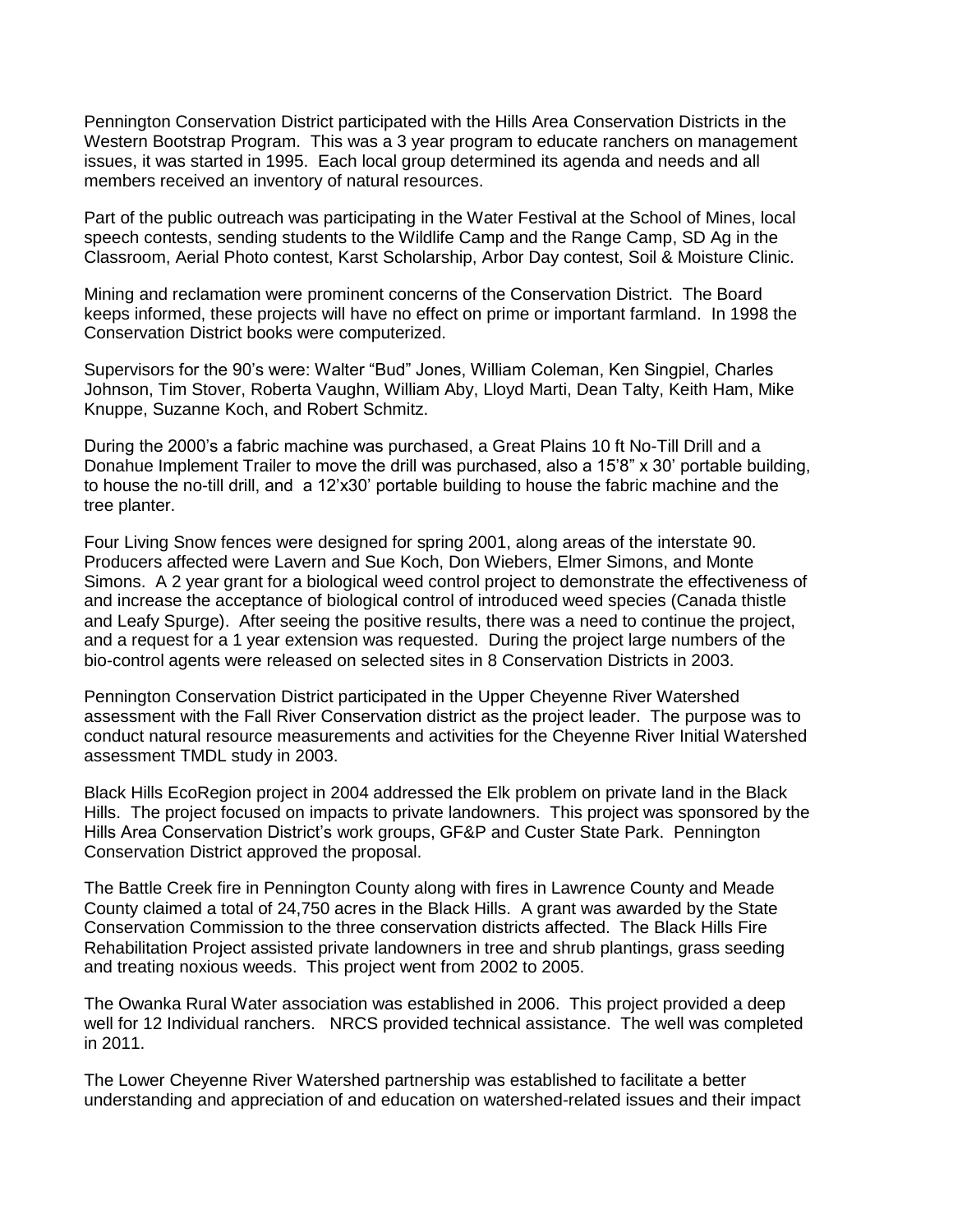Pennington Conservation District participated with the Hills Area Conservation Districts in the Western Bootstrap Program. This was a 3 year program to educate ranchers on management issues, it was started in 1995. Each local group determined its agenda and needs and all members received an inventory of natural resources.

Part of the public outreach was participating in the Water Festival at the School of Mines, local speech contests, sending students to the Wildlife Camp and the Range Camp, SD Ag in the Classroom, Aerial Photo contest, Karst Scholarship, Arbor Day contest, Soil & Moisture Clinic.

Mining and reclamation were prominent concerns of the Conservation District. The Board keeps informed, these projects will have no effect on prime or important farmland. In 1998 the Conservation District books were computerized.

Supervisors for the 90's were: Walter "Bud" Jones, William Coleman, Ken Singpiel, Charles Johnson, Tim Stover, Roberta Vaughn, William Aby, Lloyd Marti, Dean Talty, Keith Ham, Mike Knuppe, Suzanne Koch, and Robert Schmitz.

During the 2000's a fabric machine was purchased, a Great Plains 10 ft No-Till Drill and a Donahue Implement Trailer to move the drill was purchased, also a 15'8" x 30' portable building, to house the no-till drill, and a 12'x30' portable building to house the fabric machine and the tree planter.

Four Living Snow fences were designed for spring 2001, along areas of the interstate 90. Producers affected were Lavern and Sue Koch, Don Wiebers, Elmer Simons, and Monte Simons. A 2 year grant for a biological weed control project to demonstrate the effectiveness of and increase the acceptance of biological control of introduced weed species (Canada thistle and Leafy Spurge). After seeing the positive results, there was a need to continue the project, and a request for a 1 year extension was requested. During the project large numbers of the bio-control agents were released on selected sites in 8 Conservation Districts in 2003.

Pennington Conservation District participated in the Upper Cheyenne River Watershed assessment with the Fall River Conservation district as the project leader. The purpose was to conduct natural resource measurements and activities for the Cheyenne River Initial Watershed assessment TMDL study in 2003.

Black Hills EcoRegion project in 2004 addressed the Elk problem on private land in the Black Hills. The project focused on impacts to private landowners. This project was sponsored by the Hills Area Conservation District's work groups, GF&P and Custer State Park. Pennington Conservation District approved the proposal.

The Battle Creek fire in Pennington County along with fires in Lawrence County and Meade County claimed a total of 24,750 acres in the Black Hills. A grant was awarded by the State Conservation Commission to the three conservation districts affected. The Black Hills Fire Rehabilitation Project assisted private landowners in tree and shrub plantings, grass seeding and treating noxious weeds. This project went from 2002 to 2005.

The Owanka Rural Water association was established in 2006. This project provided a deep well for 12 Individual ranchers. NRCS provided technical assistance. The well was completed in 2011.

The Lower Cheyenne River Watershed partnership was established to facilitate a better understanding and appreciation of and education on watershed-related issues and their impact